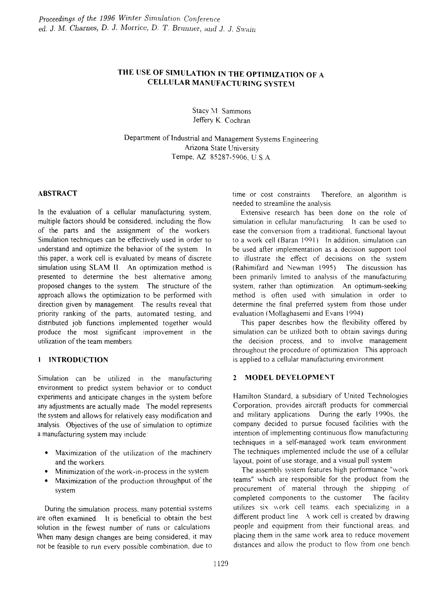# THE USE OF SIMULATION IN THE OPTIMIZATION OF A CELLULAR MANUFACTURING SYSTEM

Stacy M. Sammons Jeffery K. Cochran

Department of Industrial and Management Systems Engineering Arizona State University Tempe, AZ 85287-5906, U.S.A.

#### ABSTRACT

In the evaluation of a cellular manufacturing system, multiple factors should be considered, including the flow of the parts and the assignment of the workers. Simulation techniques can be effectively used in order to understand and optimize the behavior of the system. 1n this paper, a work cell is evaluated by means of discrete simulation using SLAM II. An optimization method is presented to determine the best alternative among proposed changes to the system. The structure of the approach allows the optimization to be performed with direction given by management. The results reveal that priority ranking of the parts, automated testing, and distributed job functions implemented together would produce the most significant improvement in the utilization of the team members.

### **I INTRODUCTION**

Simulation can be utilized in the manufacturing environment to predict system behavior or to conduct experiments and anticipate changes in the system before any adjustments are actually made. The model represents the system and allows for relatively easy modification and analysis. Objectives of the use of simulation to optimize a manufacturing system may include:

- Maximization of the utilization of the machinery and the workers.
- Minimization of the work-in-process in the system
- Maximization of the production throughput of the system.

During the simulation process, many potential systems are often examined. it is beneficial to obtain the best solution in the fewest number of runs or calculations When many design changes are being considered, it may not be feasible to run every possible combination, due to time or cost constraints. Therefore, an algorithm is needed to streamline the analysis.

Extensive research has been done on the role of simulation in cellular manufacturing. It can be used to ease the conversion from a traditional, functional layout to a work cell (Baran 1991). In addition, simulation can be used after implementation as a decision support tool to illustrate the effect of decisions on the system (Rahimifard and Newman 1995). The discussion has been primarily limited to analysis of the manufacturing system, rather than optimization. An optimum-seeking method is often used with simulation in order to determine the final preferred system from those under evaluation (Mollaghasemi and Evans 1994).

This paper describes how the flexibility offered by simulation can be utilized both to obtain savings during the decision process, and to involve management throughout the procedure of optimization. This approach is applied to a cellular manufacturing environment.

#### 2 MODEL DEVELOPMENT

Hamilton Standard, a subsidiary of United Technologies Corporation, provides aircraft products for commercial and military applications. During the early 1990s, the company decided to pursue focused facilities with the intention of implementing continuous flow manufacturing techniques in a self-managed work team environment. The techniques implemented include the use of a cellular layout, point of use storage, and a visual pull system.

The assembly system features high performance "work teams" \vhich are responsible for the product from the procurement of material through the shipping of completed components to the customer. The facility utilizes six \vork cell teams, each specializing in a different product line. A work cell is created by drawing people and equipment from their functional areas, and placing them in the same work area to reduce movement distances and allow the product to flow from one bench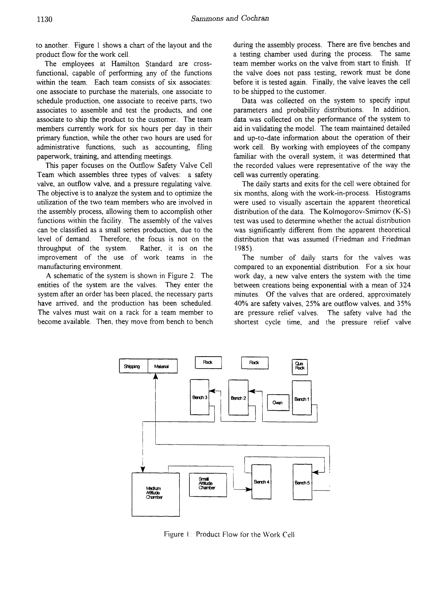to another. Figure 1 shows a chart of the layout and the product flow for the work cell.

The employees at Hamilton Standard are crossfunctional, capable of performing any of the functions within the team. Each team consists of six associates: one associate to purchase the materials, one associate to schedule production, one associate to receive parts, two associates to assemble and test the products, and one associate to ship the product to the customer. The team members currently work for six hours per day in their primary function, while the other two hours are used for administrative functions, such as accounting, filing paperwork, training, and attending meetings.

This paper focuses on the Outflow Safety Valve Cell Team which assembles three types of valves: a safety valve, an outflow valve., and a pressure regulating valve. The objective is to analyze the system and to optimize the utilization of the two team members who are involved in the assembly process, allowing them to accomplish other functions within the facility. The assembly of the valves can be classified as a small series production, due to the level of demand. Therefore, the focus is not on the throughput of the system. Rather, it is on the improvement of the use of work teams in the manufacturing environment.

A schematic of the system is shown in Figure 2. The entities of the system are the valves. They enter the system after an order has been placed., the necessary parts have arrived, and the production has been scheduled. The valves must wait on a rack for a team member to become available. Then, they move from bench to bench during the assembly process. There are five benches and a testing chamber used during the process. The same team member works on the valve from start to finish. If the valve does not pass testing, rework must be done before it is tested again. Finally, the valve leaves the cell to be shipped to the customer.

Data was collected on the system to specify input parameters and probability distributions. In addition., data was collected on the performance of the system to aid in validating the model. The team maintained detailed and up-to-date information about the operation of their work cell. By working with employees of the company familiar with the overall system, it was determined that the recorded values were representative of the way the cell was currently operating.

The daily starts and exits for the cell were obtained for six months, along with the work-in-process. Histograms were used to visually ascertain the apparent theoretical distribution of the data. The Kolmogorov-Smirnov (K-S) test was used to determine whether the actual distribution was significantly different from the apparent theoretical distribution that was assumed (Friedman and Friedman 1985).

The number of daily starts for the valves was compared to an exponential distribution. For a six hour work day, a new valve enters the system with the time between creations being exponential with a mean of 324 minutes. Of the valves that are ordered, approximately 40% are safety valves, 25% are outflow valves. and 35% are pressure relief valves. The safety valve had the shortest cycle time, and the pressure relief valve



Figure 1: Product Flow for the Work Cell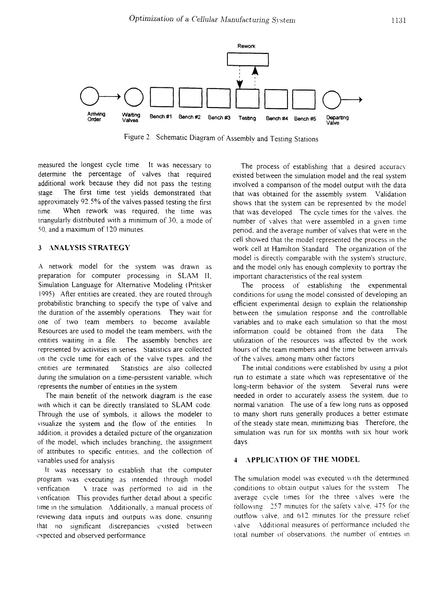

Figure 2: Schematic Diagram of Assembly and Testing Stations

measured the longest cycle time. It was necessary to determine the percentage of valves that required additional work because they did not pass the testing stage. The first time test yields demonstrated that approximately 92.5% of the valves passed testing the first time. When rework was required, the time was triangularly distributed with a minimum of 30, a mode of 50, and a maximum of 120 minutes.

#### 3 : ANALYSIS STRATEGY

A network model for the system was drawn as preparation for computer processing in SLAM II, Simulation Language for Alternative Modeling (Pritsker 1995) After entities are created, they are routed through probabilistic branching to specify the type of valve and the duration of the assembly operations. They wait for one of two team members to become available. Resources are used to model the team members, with the entities waiting in a file. The assembly benches are represented by activities in series. Statistics are collected on the cycle time for each of the valve types. and the entities are terminated. Statistics are also collected during the simulation on a time-persistent variable, which represents the number of entities in the system.

The main benetit of the network diagram is the ease with which it can be directly translated to SLAM code. Through the use of symbols. it allows the modeler to visualize the system and the flow of the entities. In addition, it provides a detailed picture of the organization of the model, which includes branching, the assignment of attributes to specific entities, and the collection of variables used for analysis

It was necessary to establish that the computer program was executing as intended through model verification. A trace was performed to aid in the \'entication. This provides funher detail about a specific time in the simulation. Additionally, a manual process of reviewing data inputs and outputs was done, ensuring that no significant discrepancies existed between expected and observed performance.

The process of establishing that a desired accuracy existed between the simulation model and the real system involved a comparison of the model output \vith the data that was obtained for the assembly system. Validation shows that the system can be represented by the model that was developed. The cycle times for the valves, the number of valves that were assembled in a given time period, and the average number of valves that \vere ;n the cell showed that the model represented the process in the work cell at Hamilton Standard The organization of the model is directly comparable with the system's structure, and the model only has enough complexity to portray the important characteristics of the real system.

The process of establishing the experimental conditions for using the model consisted of developing an efficient experimental design to explain the relationship between the simulation response and the controllable variables and to make each simulation so that the most information could be obtained from the data. The utilization of the resources was affected by the work hours of the team members and the time between arrivals of the valves. among many other factors

The initial conditions were established by using a pilot run to estimate a state which was representative of the long-term behavior of the system. Several runs were needed in order to accurately assess the system, due to normal variation. The use of a few long runs as opposed to many short runs generally produces a better estimate of the steady state mean, minimizing bias. Therefore, the simulation was run for six months with six hour work days.

#### **4 : APPLICATION OF THE MODEL**

The simulation model was executed with the determined conditions to obtain output \'alues for the system The average cycle times for the three valves were the following: 257 minutes for the safety valve, 475 for the outtlow valve, and 612 minutes for the pressure relief valve ... Additional measures of performance included the total number of observations, the number of entities in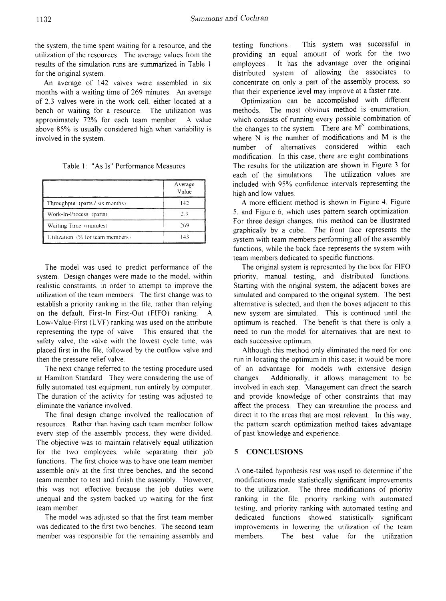the system, the time spent waiting for a resource, and the utilization of the resources. The average values from the results of the simulation runs are summarized in Table 1 for the original system.

An average of 142 valves were assembled in six months with a waiting time of 269 minutes. An average of 2.3 valves were in the work cell, either located at a bench or waiting for a resource. The utilization was approximately 72% for each team member. A. value above 85% is usually considered high when variability is involved in the system.

Table 1: "As Is" Petiormance Measures

|                                  | Average<br>Value |
|----------------------------------|------------------|
| Throughput (parts / six months)  | 142              |
| Work-In-Process (parts)          | 2.3              |
| Waiting Time (minutes)           | 269              |
| Utilization (% for team members) | 143              |

The model was used to predict performance of the system. Design changes were made to the model, within realistic constraints, in order to attempt to improve the utilization of the team members. The first change was to establish a priority ranking in the file, rather than relying on the default, First-In First-Out (FIFO) ranking. A Low-Value-First (LVF) ranking was used on the attribute representing the type of valve This ensured that the safety valve, the valve with the lowest cycle time, was placed first in the file, followed by the outflow valve and then the pressure relief valve.

The next change referred to the testing procedure used at Hamilton Standard. They were considering the use of fully automated test equipment, run entirely by computer. The duration of the activity for testing was adjusted to eliminate the variance involved.

The final design change involved the reallocation of resources. Rather than having each team member follow every step of the assembly process, they were divided. The objective was to maintain relatively equal utilization for the two employees, while separating their job functions. The first choice was to have one team member assemble only at the first three benches, and the second team member to test and finish the assembly. However, this was not effective because the job duties were unequal and the system backed up waiting for the first team member.

The model was adjusted so that the first team member was dedicated to the first two benches. The second team member was responsible for the remaining assembly and testing functions. This system was successful in providing an equal amount of work for the two employees. It has the advantage over the original distributed system of allowing the associates to concentrate on only a part of the assembly process, so that their experience level may improve at a faster rate.

Optimization can be accomplished with different methods. The most obvious method is enumeration, which consists of running every possible combination of the changes to the system. There are  $M<sup>N</sup>$  combinations, where N is the number of modifications and M is the number of alternatives considered within each modification. In this case, there are eight combinations. The results for the utilization are shown in Figure 3 for each of the simulations. The utilization values are included \vith 95% confidence intervals representing the high and low values.

A more efficient method is shown in Figure 4, Figure 5, and Figure 6, which uses pattern search optimization. For three design changes, this method can be illustrated graphically by a cube. The front face represents the system with team members performing all of the assembly functions, while the back face represents the system with team members dedicated to specific functions.

The original system is represented by the box for FIFO priority, manual testing, and distributed functions. Starting with the original system, the adjacent boxes are simulated and compared to the original system. The best alternative is selected, and then the boxes adjacent to this new system are simulated. This is continued until the optimum is reached. The benefit is that there is only a need to run the model for alternatives that are next to each successive optimum.

Although this method only eliminated the need for one run in locating the optimum in this case: it would be more of an advantage for models with extensive design changes. Additionally, it allows management to be involved in each step. Management can direct the search and provide knowledge of other constraints that may affect the process. They can streamline the process and direct it to the areas that are most relevant. In this way, the pattern search optimization method takes advantage of past knowledge and experience.

#### 5 CONCLllSIONS

A. one-tailed hypothesis test was used to determine if the modifications made statistically significant improvements to the utilization. The three modifications of priority ranking in the file, priority ranking with automated testing, and priority ranking with automated testing and dedicated functions showed statistically significant improvements in lowering the utilization of the team members. The best value for the utilization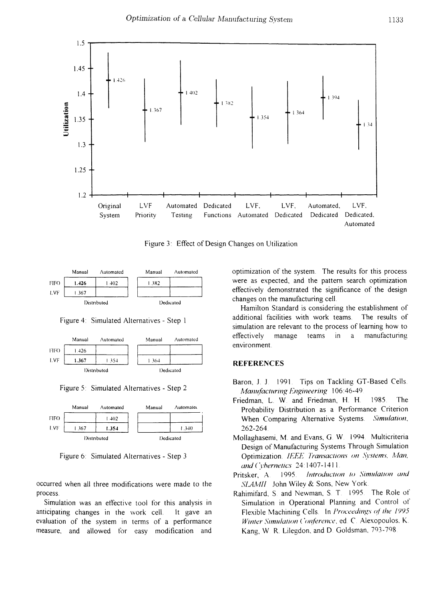

Figure 3: Effect of Design Changes on Utilization



Figure 4: Simulated Alternatives - Step 1



Figure 5: Simulated Alternatives - Step 2



Figure 6: Simulated Alternatives - Step 3

occurred when all three modifications were made to the process.

Simulation was an effective tool for this analysis in anticipating changes in the work cell. It gave an evaluation of the system in terms of a performance measure, and allowed for easy modification and

optimization of the system. The results for this process were as expected, and the pattern search optimization effectively demonstrated the significance of the design changes on the manufacturing cell.

Hamilton Standard is considering the establishment of additional facilities with work teams. The results of simulation are relevant to the process of learning how to effectively manage teams  $\mathsf{in}$  $\rm{a}$ manufacturing environment.

### **REFERENCES**

- Baron, J. J. 1991. Tips on Tackling GT-Based Cells. Manufacturing Engineering 106:46-49
- Friedman, L. W. and Friedman, H. H. 1985. The Probability Distribution as a Performance Criterion Simulation, When Comparing Alternative Systems. 262-264
- Mollaghasemi, M. and Evans, G. W. 1994. Multicriteria Design of Manufacturing Systems Through Simulation Optimization. IEEE Transactions on Systems, Man, and Cybernetics 24:1407-1411
- Introduction to Simulation and 1995. Pritsker. A. SLAMII. John Wiley & Sons, New York.
- Rahimifard, S. and Newman, S. T. 1995. The Role of Simulation in Operational Planning and Control of Flexible Machining Cells. In Proceedings of the 1995 Winter Simulation Conference, ed. C. Alexopoulos, K. Kang, W. R. Lilegdon, and D. Goldsman, 793-798.